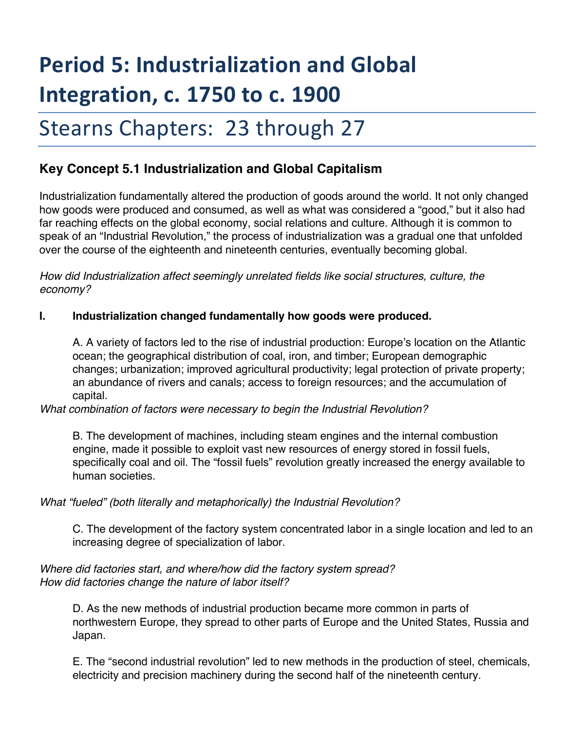# **Period 5: Industrialization and Global Integration, c. 1750 to c. 1900**

# Stearns Chapters: 23 through 27

# **Key Concept 5.1 Industrialization and Global Capitalism**

Industrialization fundamentally altered the production of goods around the world. It not only changed how goods were produced and consumed, as well as what was considered a "good," but it also had far reaching effects on the global economy, social relations and culture. Although it is common to speak of an "Industrial Revolution," the process of industrialization was a gradual one that unfolded over the course of the eighteenth and nineteenth centuries, eventually becoming global.

*How did Industrialization affect seemingly unrelated fields like social structures, culture, the economy?* 

#### **I. Industrialization changed fundamentally how goods were produced.**

A. A variety of factors led to the rise of industrial production: Europe's location on the Atlantic ocean; the geographical distribution of coal, iron, and timber; European demographic changes; urbanization; improved agricultural productivity; legal protection of private property; an abundance of rivers and canals; access to foreign resources; and the accumulation of capital.

*What combination of factors were necessary to begin the Industrial Revolution?* 

B. The development of machines, including steam engines and the internal combustion engine, made it possible to exploit vast new resources of energy stored in fossil fuels, specifically coal and oil. The "fossil fuels" revolution greatly increased the energy available to human societies.

#### *What "fueled" (both literally and metaphorically) the Industrial Revolution?*

C. The development of the factory system concentrated labor in a single location and led to an increasing degree of specialization of labor.

#### *Where did factories start, and where/how did the factory system spread? How did factories change the nature of labor itself?*

D. As the new methods of industrial production became more common in parts of northwestern Europe, they spread to other parts of Europe and the United States, Russia and Japan.

E. The "second industrial revolution" led to new methods in the production of steel, chemicals, electricity and precision machinery during the second half of the nineteenth century.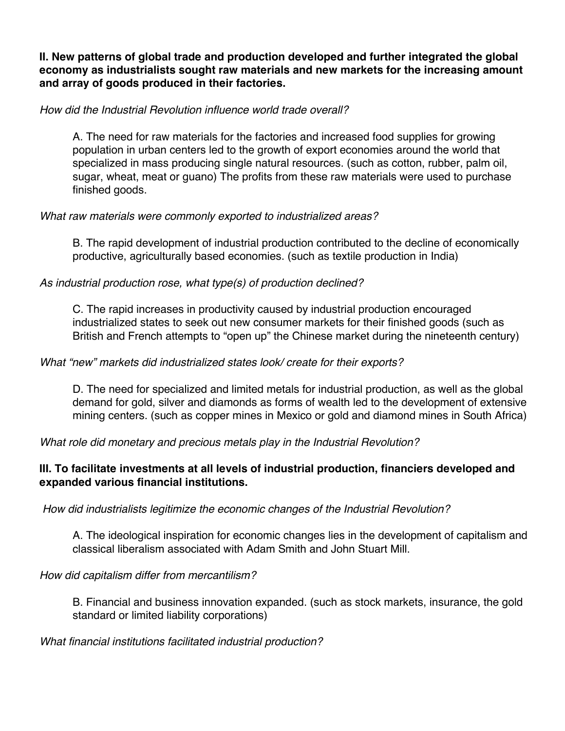**II. New patterns of global trade and production developed and further integrated the global economy as industrialists sought raw materials and new markets for the increasing amount and array of goods produced in their factories.** 

#### *How did the Industrial Revolution influence world trade overall?*

A. The need for raw materials for the factories and increased food supplies for growing population in urban centers led to the growth of export economies around the world that specialized in mass producing single natural resources. (such as cotton, rubber, palm oil, sugar, wheat, meat or guano) The profits from these raw materials were used to purchase finished goods.

## *What raw materials were commonly exported to industrialized areas?*

B. The rapid development of industrial production contributed to the decline of economically productive, agriculturally based economies. (such as textile production in India)

## *As industrial production rose, what type(s) of production declined?*

C. The rapid increases in productivity caused by industrial production encouraged industrialized states to seek out new consumer markets for their finished goods (such as British and French attempts to "open up" the Chinese market during the nineteenth century)

#### *What "new" markets did industrialized states look/ create for their exports?*

D. The need for specialized and limited metals for industrial production, as well as the global demand for gold, silver and diamonds as forms of wealth led to the development of extensive mining centers. (such as copper mines in Mexico or gold and diamond mines in South Africa)

*What role did monetary and precious metals play in the Industrial Revolution?*

## **III. To facilitate investments at all levels of industrial production, financiers developed and expanded various financial institutions.**

*How did industrialists legitimize the economic changes of the Industrial Revolution?* 

A. The ideological inspiration for economic changes lies in the development of capitalism and classical liberalism associated with Adam Smith and John Stuart Mill.

#### *How did capitalism differ from mercantilism?*

B. Financial and business innovation expanded. (such as stock markets, insurance, the gold standard or limited liability corporations)

*What financial institutions facilitated industrial production?*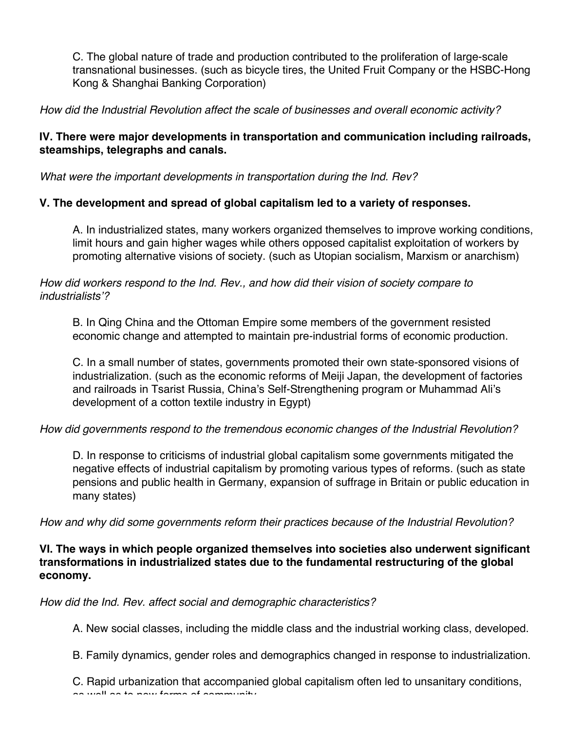C. The global nature of trade and production contributed to the proliferation of large-scale transnational businesses. (such as bicycle tires, the United Fruit Company or the HSBC-Hong Kong & Shanghai Banking Corporation)

*How did the Industrial Revolution affect the scale of businesses and overall economic activity?* 

#### **IV. There were major developments in transportation and communication including railroads, steamships, telegraphs and canals.**

*What were the important developments in transportation during the Ind. Rev?* 

## **V. The development and spread of global capitalism led to a variety of responses.**

A. In industrialized states, many workers organized themselves to improve working conditions, limit hours and gain higher wages while others opposed capitalist exploitation of workers by promoting alternative visions of society. (such as Utopian socialism, Marxism or anarchism)

#### *How did workers respond to the Ind. Rev., and how did their vision of society compare to industrialists'?*

B. In Qing China and the Ottoman Empire some members of the government resisted economic change and attempted to maintain pre-industrial forms of economic production.

C. In a small number of states, governments promoted their own state-sponsored visions of industrialization. (such as the economic reforms of Meiji Japan, the development of factories and railroads in Tsarist Russia, China's Self-Strengthening program or Muhammad Ali's development of a cotton textile industry in Egypt)

*How did governments respond to the tremendous economic changes of the Industrial Revolution?* 

D. In response to criticisms of industrial global capitalism some governments mitigated the negative effects of industrial capitalism by promoting various types of reforms. (such as state pensions and public health in Germany, expansion of suffrage in Britain or public education in many states)

*How and why did some governments reform their practices because of the Industrial Revolution?* 

## **VI. The ways in which people organized themselves into societies also underwent significant transformations in industrialized states due to the fundamental restructuring of the global economy.**

*How did the Ind. Rev. affect social and demographic characteristics?* 

A. New social classes, including the middle class and the industrial working class, developed.

B. Family dynamics, gender roles and demographics changed in response to industrialization.

C. Rapid urbanization that accompanied global capitalism often led to unsanitary conditions, as well as to new forms of community.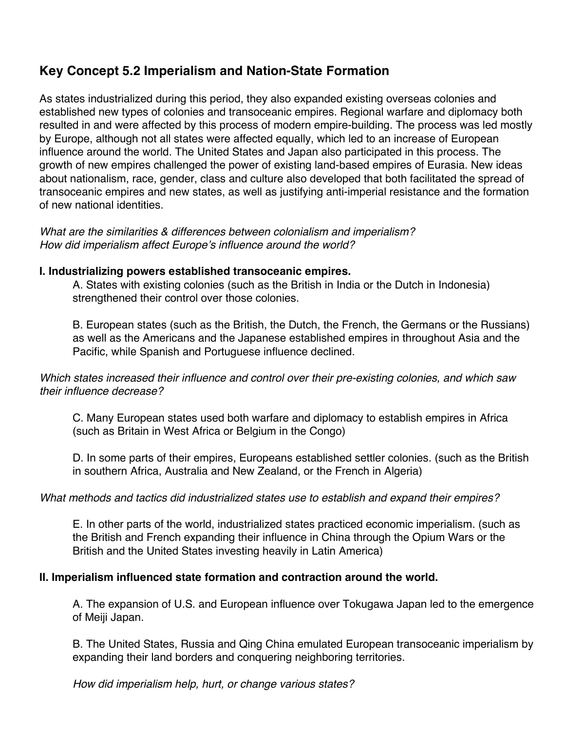## **Key Concept 5.2 Imperialism and Nation-State Formation**

As states industrialized during this period, they also expanded existing overseas colonies and established new types of colonies and transoceanic empires. Regional warfare and diplomacy both resulted in and were affected by this process of modern empire-building. The process was led mostly by Europe, although not all states were affected equally, which led to an increase of European influence around the world. The United States and Japan also participated in this process. The growth of new empires challenged the power of existing land-based empires of Eurasia. New ideas about nationalism, race, gender, class and culture also developed that both facilitated the spread of transoceanic empires and new states, as well as justifying anti-imperial resistance and the formation of new national identities.

*What are the similarities & differences between colonialism and imperialism? How did imperialism affect Europe's influence around the world?* 

#### **I. Industrializing powers established transoceanic empires.**

A. States with existing colonies (such as the British in India or the Dutch in Indonesia) strengthened their control over those colonies.

B. European states (such as the British, the Dutch, the French, the Germans or the Russians) as well as the Americans and the Japanese established empires in throughout Asia and the Pacific, while Spanish and Portuguese influence declined.

*Which states increased their influence and control over their pre-existing colonies, and which saw their influence decrease?* 

C. Many European states used both warfare and diplomacy to establish empires in Africa (such as Britain in West Africa or Belgium in the Congo)

D. In some parts of their empires, Europeans established settler colonies. (such as the British in southern Africa, Australia and New Zealand, or the French in Algeria)

#### *What methods and tactics did industrialized states use to establish and expand their empires?*

E. In other parts of the world, industrialized states practiced economic imperialism. (such as the British and French expanding their influence in China through the Opium Wars or the British and the United States investing heavily in Latin America)

#### **II. Imperialism influenced state formation and contraction around the world.**

A. The expansion of U.S. and European influence over Tokugawa Japan led to the emergence of Meiji Japan.

B. The United States, Russia and Qing China emulated European transoceanic imperialism by expanding their land borders and conquering neighboring territories.

*How did imperialism help, hurt, or change various states?*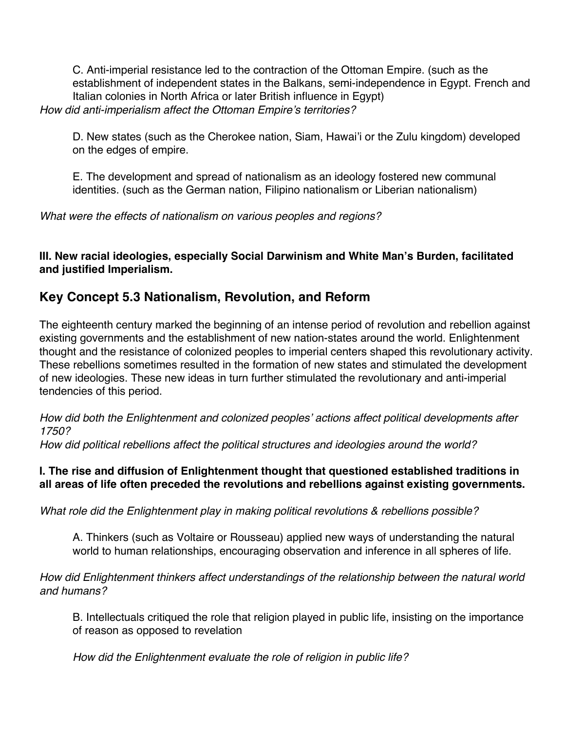C. Anti-imperial resistance led to the contraction of the Ottoman Empire. (such as the establishment of independent states in the Balkans, semi-independence in Egypt. French and Italian colonies in North Africa or later British influence in Egypt) *How did anti-imperialism affect the Ottoman Empire's territories?* 

D. New states (such as the Cherokee nation, Siam, Hawai'i or the Zulu kingdom) developed on the edges of empire.

E. The development and spread of nationalism as an ideology fostered new communal identities. (such as the German nation, Filipino nationalism or Liberian nationalism)

*What were the effects of nationalism on various peoples and regions?* 

**III. New racial ideologies, especially Social Darwinism and White Man's Burden, facilitated and justified Imperialism.** 

## **Key Concept 5.3 Nationalism, Revolution, and Reform**

The eighteenth century marked the beginning of an intense period of revolution and rebellion against existing governments and the establishment of new nation-states around the world. Enlightenment thought and the resistance of colonized peoples to imperial centers shaped this revolutionary activity. These rebellions sometimes resulted in the formation of new states and stimulated the development of new ideologies. These new ideas in turn further stimulated the revolutionary and anti-imperial tendencies of this period.

*How did both the Enlightenment and colonized peoples' actions affect political developments after 1750?* 

*How did political rebellions affect the political structures and ideologies around the world?* 

## **I. The rise and diffusion of Enlightenment thought that questioned established traditions in all areas of life often preceded the revolutions and rebellions against existing governments.**

*What role did the Enlightenment play in making political revolutions & rebellions possible?* 

A. Thinkers (such as Voltaire or Rousseau) applied new ways of understanding the natural world to human relationships, encouraging observation and inference in all spheres of life.

*How did Enlightenment thinkers affect understandings of the relationship between the natural world and humans?* 

B. Intellectuals critiqued the role that religion played in public life, insisting on the importance of reason as opposed to revelation

*How did the Enlightenment evaluate the role of religion in public life?*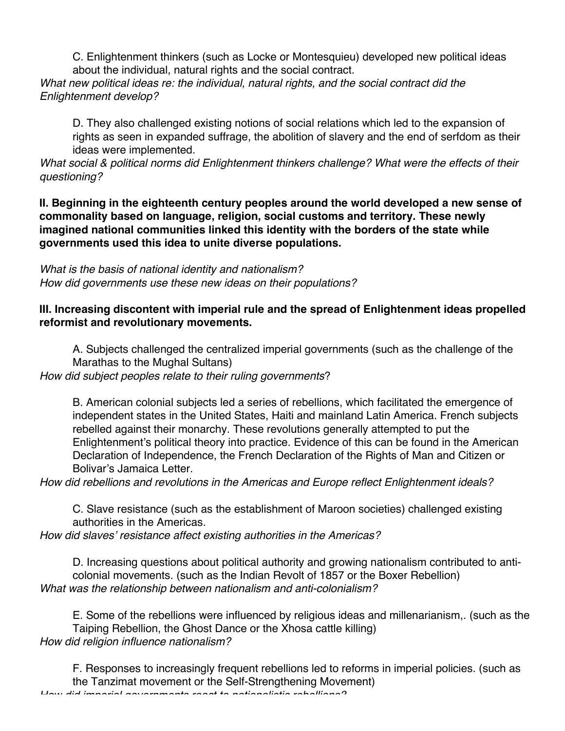C. Enlightenment thinkers (such as Locke or Montesquieu) developed new political ideas about the individual, natural rights and the social contract.

*What new political ideas re: the individual, natural rights, and the social contract did the Enlightenment develop?* 

D. They also challenged existing notions of social relations which led to the expansion of rights as seen in expanded suffrage, the abolition of slavery and the end of serfdom as their ideas were implemented.

*What social & political norms did Enlightenment thinkers challenge? What were the effects of their questioning?* 

**II. Beginning in the eighteenth century peoples around the world developed a new sense of commonality based on language, religion, social customs and territory. These newly imagined national communities linked this identity with the borders of the state while governments used this idea to unite diverse populations.** 

*What is the basis of national identity and nationalism? How did governments use these new ideas on their populations?* 

## **III. Increasing discontent with imperial rule and the spread of Enlightenment ideas propelled reformist and revolutionary movements.**

A. Subjects challenged the centralized imperial governments (such as the challenge of the Marathas to the Mughal Sultans) *How did subject peoples relate to their ruling governments*?

B. American colonial subjects led a series of rebellions, which facilitated the emergence of independent states in the United States, Haiti and mainland Latin America. French subjects rebelled against their monarchy. These revolutions generally attempted to put the Enlightenment's political theory into practice. Evidence of this can be found in the American Declaration of Independence, the French Declaration of the Rights of Man and Citizen or Bolivar's Jamaica Letter.

*How did rebellions and revolutions in the Americas and Europe reflect Enlightenment ideals?*

C. Slave resistance (such as the establishment of Maroon societies) challenged existing authorities in the Americas.

*How did slaves' resistance affect existing authorities in the Americas?* 

D. Increasing questions about political authority and growing nationalism contributed to anticolonial movements. (such as the Indian Revolt of 1857 or the Boxer Rebellion) *What was the relationship between nationalism and anti-colonialism?* 

E. Some of the rebellions were influenced by religious ideas and millenarianism,. (such as the Taiping Rebellion, the Ghost Dance or the Xhosa cattle killing) *How did religion influence nationalism?* 

F. Responses to increasingly frequent rebellions led to reforms in imperial policies. (such as the Tanzimat movement or the Self-Strengthening Movement)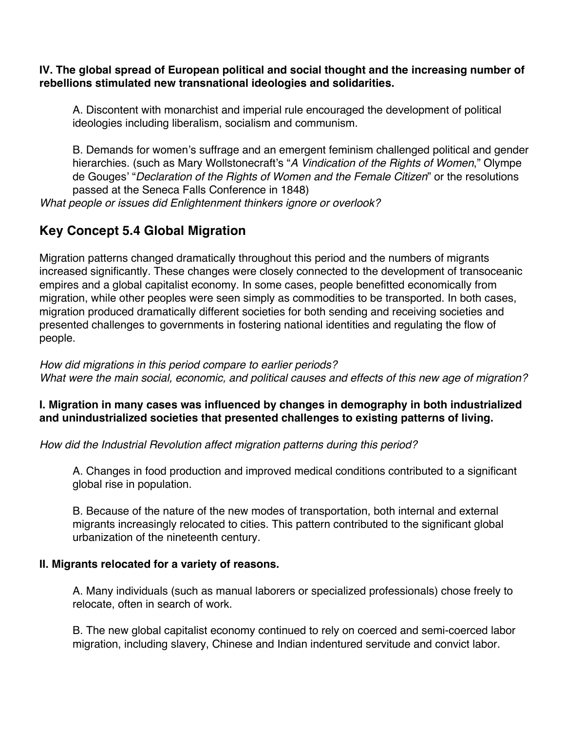#### **IV. The global spread of European political and social thought and the increasing number of rebellions stimulated new transnational ideologies and solidarities.**

A. Discontent with monarchist and imperial rule encouraged the development of political ideologies including liberalism, socialism and communism.

B. Demands for women's suffrage and an emergent feminism challenged political and gender hierarchies. (such as Mary Wollstonecraft's "*A Vindication of the Rights of Women*," Olympe de Gouges' "*Declaration of the Rights of Women and the Female Citizen*" or the resolutions passed at the Seneca Falls Conference in 1848)

*What people or issues did Enlightenment thinkers ignore or overlook?* 

# **Key Concept 5.4 Global Migration**

Migration patterns changed dramatically throughout this period and the numbers of migrants increased significantly. These changes were closely connected to the development of transoceanic empires and a global capitalist economy. In some cases, people benefitted economically from migration, while other peoples were seen simply as commodities to be transported. In both cases, migration produced dramatically different societies for both sending and receiving societies and presented challenges to governments in fostering national identities and regulating the flow of people.

#### *How did migrations in this period compare to earlier periods? What were the main social, economic, and political causes and effects of this new age of migration?*

## **I. Migration in many cases was influenced by changes in demography in both industrialized and unindustrialized societies that presented challenges to existing patterns of living.**

*How did the Industrial Revolution affect migration patterns during this period?*

A. Changes in food production and improved medical conditions contributed to a significant global rise in population.

B. Because of the nature of the new modes of transportation, both internal and external migrants increasingly relocated to cities. This pattern contributed to the significant global urbanization of the nineteenth century.

## **II. Migrants relocated for a variety of reasons.**

A. Many individuals (such as manual laborers or specialized professionals) chose freely to relocate, often in search of work.

B. The new global capitalist economy continued to rely on coerced and semi-coerced labor migration, including slavery, Chinese and Indian indentured servitude and convict labor.